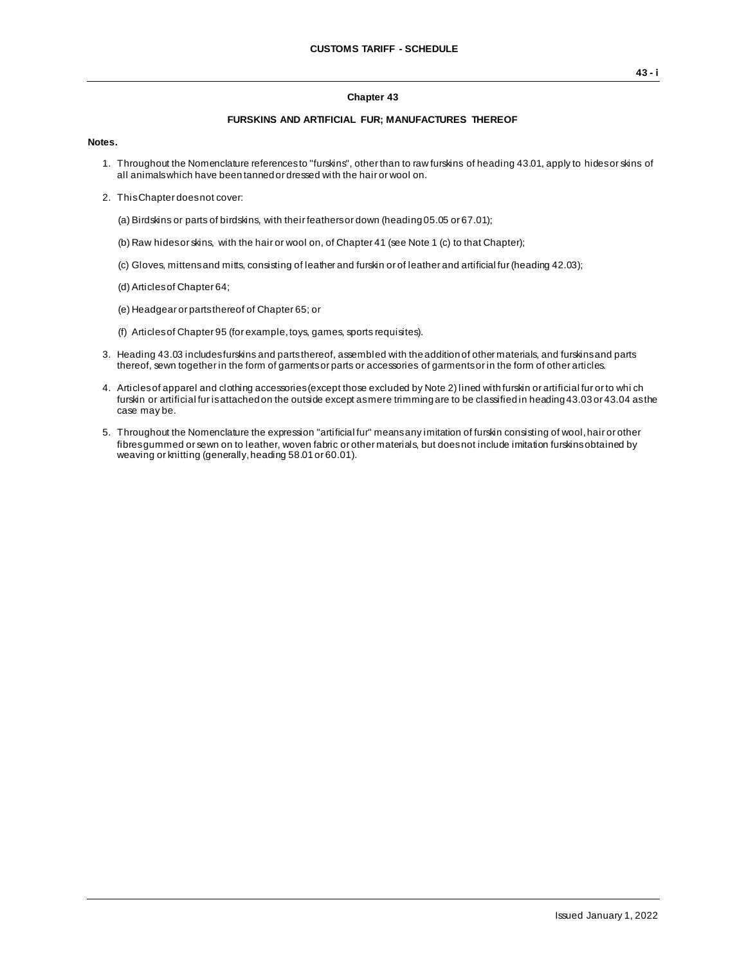## **Chapter 43**

## **FURSKINS AND ARTIFICIAL FUR; MANUFACTURES THEREOF**

## **Notes.**

- 1. Throughout the Nomenclature references to "furskins", other than to raw furskins of heading 43.01, apply to hides or skins of all animals which have been tanned or dressed with the hair or wool on.
- 2. This Chapter does not cover:
	- (a) Birdskins or parts of birdskins, with their feathers or down (heading 05.05 or 67.01);
	- (b) Raw hides or skins, with the hair or wool on, of Chapter 41 (see Note 1 (c) to that Chapter);
	- (c) Gloves, mittens and mitts, consisting of leather and furskin or of leather and artificial fur (heading 42.03);
	- (d) Articles of Chapter 64;
	- (e) Headgear or parts thereof of Chapter 65; or
	- (f) Articles of Chapter 95 (for example, toys, games, sports requisites).
- 3. Heading 43.03 includes furskins and parts thereof, assembled with the addition of other materials, and furskins and parts thereof, sewn together in the form of garments or parts or accessories of garments or in the form of other articles.
- 4. Articles of apparel and clothing accessories (except those excluded by Note 2) lined with furskin or artificial fur or to whi ch furskin or artificial fur is attached on the outside except as mere trimming are to be classified in heading 43.03 or 43.04 as the case may be.
- 5. Throughout the Nomenclature the expression "artificial fur" means any imitation of furskin consisting of wool, hair or other fibres gummed or sewn on to leather, woven fabric or other materials, but does not include imitation furskins obtained by weaving or knitting (generally, heading 58.01 or 60.01).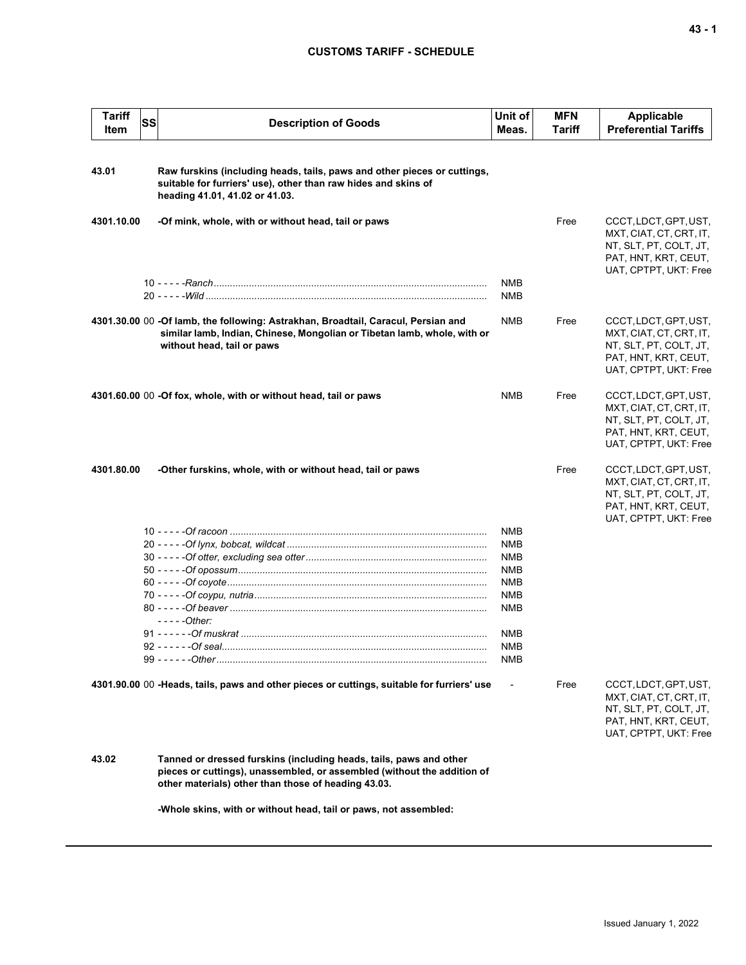## **CUSTOMS TARIFF - SCHEDULE**

| <b>Tariff</b><br>Item | SS | <b>Description of Goods</b>                                                                                                                                                                          | Unit of<br>Meas.                                                                               | <b>MFN</b><br><b>Tariff</b> | Applicable<br><b>Preferential Tariffs</b>                                                                                   |
|-----------------------|----|------------------------------------------------------------------------------------------------------------------------------------------------------------------------------------------------------|------------------------------------------------------------------------------------------------|-----------------------------|-----------------------------------------------------------------------------------------------------------------------------|
| 43.01                 |    | Raw furskins (including heads, tails, paws and other pieces or cuttings,<br>suitable for furriers' use), other than raw hides and skins of<br>heading 41.01, 41.02 or 41.03.                         |                                                                                                |                             |                                                                                                                             |
| 4301.10.00            |    | -Of mink, whole, with or without head, tail or paws                                                                                                                                                  |                                                                                                | Free                        | CCCT, LDCT, GPT, UST,<br>MXT, CIAT, CT, CRT, IT,<br>NT, SLT, PT, COLT, JT,<br>PAT, HNT, KRT, CEUT,<br>UAT, CPTPT, UKT: Free |
|                       |    |                                                                                                                                                                                                      | <b>NMB</b><br><b>NMB</b>                                                                       |                             |                                                                                                                             |
|                       |    | 4301.30.00 00 -Of lamb, the following: Astrakhan, Broadtail, Caracul, Persian and<br>similar lamb, Indian, Chinese, Mongolian or Tibetan lamb, whole, with or<br>without head, tail or paws          | <b>NMB</b>                                                                                     | Free                        | CCCT, LDCT, GPT, UST,<br>MXT, CIAT, CT, CRT, IT,<br>NT, SLT, PT, COLT, JT,<br>PAT, HNT, KRT, CEUT,<br>UAT, CPTPT, UKT: Free |
|                       |    | 4301.60.00 00 -Of fox, whole, with or without head, tail or paws                                                                                                                                     | <b>NMB</b>                                                                                     | Free                        | CCCT, LDCT, GPT, UST,<br>MXT, CIAT, CT, CRT, IT,<br>NT, SLT, PT, COLT, JT,<br>PAT, HNT, KRT, CEUT,<br>UAT, CPTPT, UKT: Free |
| 4301.80.00            |    | -Other furskins, whole, with or without head, tail or paws                                                                                                                                           |                                                                                                | Free                        | CCCT, LDCT, GPT, UST,<br>MXT, CIAT, CT, CRT, IT,<br>NT, SLT, PT, COLT, JT,<br>PAT, HNT, KRT, CEUT,<br>UAT, CPTPT, UKT: Free |
|                       |    | $---Other$                                                                                                                                                                                           | <b>NMB</b><br><b>NMB</b><br><b>NMB</b><br><b>NMB</b><br><b>NMB</b><br><b>NMB</b><br>NMB<br>NMB |                             |                                                                                                                             |
|                       |    |                                                                                                                                                                                                      | NMB<br><b>NMB</b>                                                                              |                             |                                                                                                                             |
|                       |    | 4301.90.00 00 -Heads, tails, paws and other pieces or cuttings, suitable for furriers' use                                                                                                           |                                                                                                | Free                        | CCCT, LDCT, GPT, UST,<br>MXT, CIAT, CT, CRT, IT,<br>NT, SLT, PT, COLT, JT,<br>PAT, HNT, KRT, CEUT,<br>UAT, CPTPT, UKT: Free |
| 43.02                 |    | Tanned or dressed furskins (including heads, tails, paws and other<br>pieces or cuttings), unassembled, or assembled (without the addition of<br>other materials) other than those of heading 43.03. |                                                                                                |                             |                                                                                                                             |
|                       |    | -Whole skins, with or without head, tail or paws, not assembled:                                                                                                                                     |                                                                                                |                             |                                                                                                                             |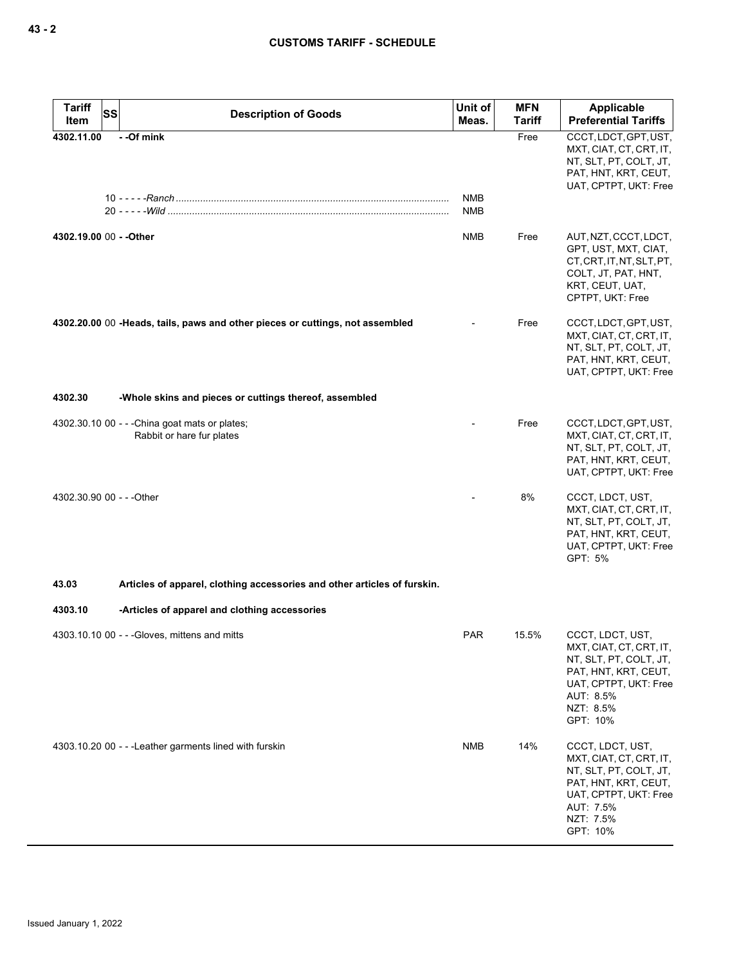| <b>Tariff</b><br><b>SS</b><br>Item | <b>Description of Goods</b>                                                   | Unit of<br>Meas. | <b>MFN</b><br><b>Tariff</b> | <b>Applicable</b><br><b>Preferential Tariffs</b>                                                                                                             |
|------------------------------------|-------------------------------------------------------------------------------|------------------|-----------------------------|--------------------------------------------------------------------------------------------------------------------------------------------------------------|
| 4302.11.00                         | --Of mink                                                                     | NMB<br>NMB       | Free                        | CCCT, LDCT, GPT, UST,<br>MXT, CIAT, CT, CRT, IT,<br>NT, SLT, PT, COLT, JT,<br>PAT, HNT, KRT, CEUT,<br>UAT, CPTPT, UKT: Free                                  |
| 4302.19.00 00 - - Other            |                                                                               | NMB              | Free                        | AUT, NZT, CCCT, LDCT,<br>GPT, UST, MXT, CIAT,<br>CT, CRT, IT, NT, SLT, PT,<br>COLT, JT, PAT, HNT,<br>KRT, CEUT, UAT,<br>CPTPT, UKT: Free                     |
|                                    | 4302.20.00 00 -Heads, tails, paws and other pieces or cuttings, not assembled |                  | Free                        | CCCT, LDCT, GPT, UST,<br>MXT, CIAT, CT, CRT, IT,<br>NT, SLT, PT, COLT, JT,<br>PAT, HNT, KRT, CEUT,<br>UAT, CPTPT, UKT: Free                                  |
| 4302.30                            | -Whole skins and pieces or cuttings thereof, assembled                        |                  |                             |                                                                                                                                                              |
|                                    | 4302.30.10 00 - - - China goat mats or plates;<br>Rabbit or hare fur plates   |                  | Free                        | CCCT, LDCT, GPT, UST,<br>MXT, CIAT, CT, CRT, IT,<br>NT, SLT, PT, COLT, JT,<br>PAT, HNT, KRT, CEUT,<br>UAT, CPTPT, UKT: Free                                  |
| 4302.30.90 00 - - - Other          |                                                                               |                  | 8%                          | CCCT, LDCT, UST,<br>MXT, CIAT, CT, CRT, IT,<br>NT, SLT, PT, COLT, JT,<br>PAT, HNT, KRT, CEUT,<br>UAT, CPTPT, UKT: Free<br>GPT: 5%                            |
| 43.03                              | Articles of apparel, clothing accessories and other articles of furskin.      |                  |                             |                                                                                                                                                              |
| 4303.10                            | -Articles of apparel and clothing accessories                                 |                  |                             |                                                                                                                                                              |
|                                    | 4303.10.10 00 - - - Gloves, mittens and mitts                                 | <b>PAR</b>       | 15.5%                       | CCCT, LDCT, UST,<br>MXT, CIAT, CT, CRT, IT,<br>NT, SLT, PT, COLT, JT,<br>PAT, HNT, KRT, CEUT,<br>UAT, CPTPT, UKT: Free<br>AUT: 8.5%<br>NZT: 8.5%<br>GPT: 10% |
|                                    | 4303.10.20 00 - - - Leather garments lined with furskin                       | <b>NMB</b>       | 14%                         | CCCT, LDCT, UST,<br>MXT, CIAT, CT, CRT, IT,<br>NT, SLT, PT, COLT, JT,<br>PAT, HNT, KRT, CEUT,<br>UAT, CPTPT, UKT: Free<br>AUT: 7.5%<br>NZT: 7.5%<br>GPT: 10% |